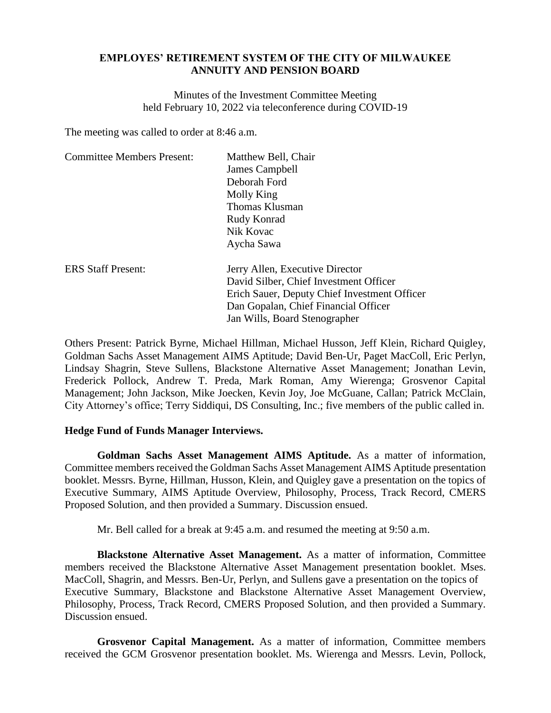## **EMPLOYES' RETIREMENT SYSTEM OF THE CITY OF MILWAUKEE ANNUITY AND PENSION BOARD**

Minutes of the Investment Committee Meeting held February 10, 2022 via teleconference during COVID-19

The meeting was called to order at 8:46 a.m.

| <b>Committee Members Present:</b> | Matthew Bell, Chair                          |
|-----------------------------------|----------------------------------------------|
|                                   | James Campbell                               |
|                                   | Deborah Ford                                 |
|                                   | Molly King                                   |
|                                   | Thomas Klusman                               |
|                                   | Rudy Konrad                                  |
|                                   | Nik Kovac                                    |
|                                   | Aycha Sawa                                   |
| <b>ERS Staff Present:</b>         | Jerry Allen, Executive Director              |
|                                   | David Silber, Chief Investment Officer       |
|                                   | Erich Sauer, Deputy Chief Investment Officer |
|                                   | Dan Gopalan, Chief Financial Officer         |
|                                   | Jan Wills, Board Stenographer                |

Others Present: Patrick Byrne, Michael Hillman, Michael Husson, Jeff Klein, Richard Quigley, Goldman Sachs Asset Management AIMS Aptitude; David Ben-Ur, Paget MacColl, Eric Perlyn, Lindsay Shagrin, Steve Sullens, Blackstone Alternative Asset Management; Jonathan Levin, Frederick Pollock, Andrew T. Preda, Mark Roman, Amy Wierenga; Grosvenor Capital Management; John Jackson, Mike Joecken, Kevin Joy, Joe McGuane, Callan; Patrick McClain, City Attorney's office; Terry Siddiqui, DS Consulting, Inc.; five members of the public called in.

## **Hedge Fund of Funds Manager Interviews.**

**Goldman Sachs Asset Management AIMS Aptitude.** As a matter of information, Committee members received the Goldman Sachs Asset Management AIMS Aptitude presentation booklet. Messrs. Byrne, Hillman, Husson, Klein, and Quigley gave a presentation on the topics of Executive Summary, AIMS Aptitude Overview, Philosophy, Process, Track Record, CMERS Proposed Solution, and then provided a Summary. Discussion ensued.

Mr. Bell called for a break at 9:45 a.m. and resumed the meeting at 9:50 a.m.

**Blackstone Alternative Asset Management.** As a matter of information, Committee members received the Blackstone Alternative Asset Management presentation booklet. Mses. MacColl, Shagrin, and Messrs. Ben-Ur, Perlyn, and Sullens gave a presentation on the topics of Executive Summary, Blackstone and Blackstone Alternative Asset Management Overview, Philosophy, Process, Track Record, CMERS Proposed Solution, and then provided a Summary. Discussion ensued.

**Grosvenor Capital Management.** As a matter of information, Committee members received the GCM Grosvenor presentation booklet. Ms. Wierenga and Messrs. Levin, Pollock,